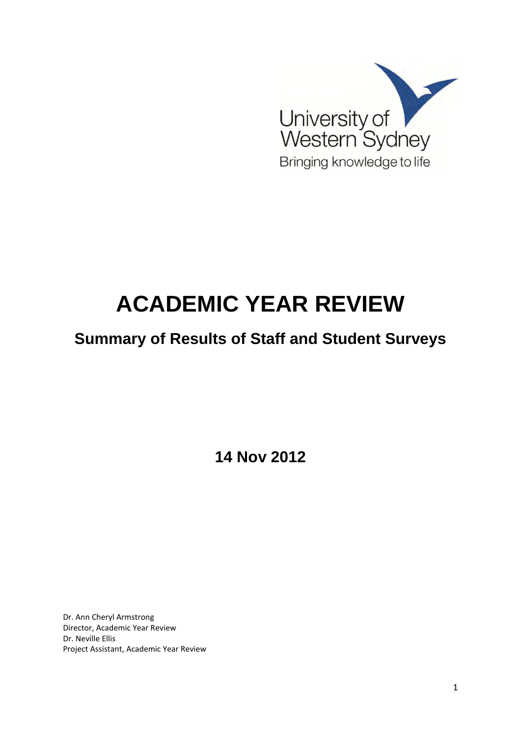

# **ACADEMIC YEAR REVIEW**

# **Summary of Results of Staff and Student Surveys**

**14 Nov 2012** 

Dr. Ann Cheryl Armstrong Director, Academic Year Review Dr. Neville Ellis Project Assistant, Academic Year Review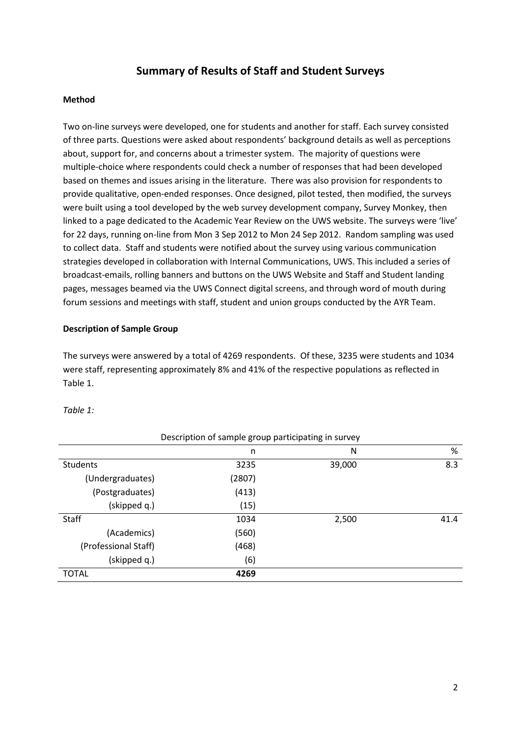### **Summary of Results of Staff and Student Surveys**

#### **Method**

Two on-line surveys were developed, one for students and another for staff. Each survey consisted of three parts. Questions were asked about respondents' background details as well as perceptions about, support for, and concerns about a trimester system. The majority of questions were multiple-choice where respondents could check a number of responses that had been developed based on themes and issues arising in the literature. There was also provision for respondents to provide qualitative, open-ended responses. Once designed, pilot tested, then modified, the surveys were built using a tool developed by the web survey development company, Survey Monkey, then linked to a page dedicated to the Academic Year Review on the UWS website. The surveys were 'live' for 22 days, running on-line from Mon 3 Sep 2012 to Mon 24 Sep 2012. Random sampling was used to collect data. Staff and students were notified about the survey using various communication strategies developed in collaboration with Internal Communications, UWS. This included a series of broadcast-emails, rolling banners and buttons on the UWS Website and Staff and Student landing pages, messages beamed via the UWS Connect digital screens, and through word of mouth during forum sessions and meetings with staff, student and union groups conducted by the AYR Team.

#### **Description of Sample Group**

The surveys were answered by a total of 4269 respondents. Of these, 3235 were students and 1034 were staff, representing approximately 8% and 41% of the respective populations as reflected in Table 1.

| Description of sample group participating in survey |        |        |      |  |  |
|-----------------------------------------------------|--------|--------|------|--|--|
|                                                     | n      | N      | %    |  |  |
| <b>Students</b>                                     | 3235   | 39,000 | 8.3  |  |  |
| (Undergraduates)                                    | (2807) |        |      |  |  |
| (Postgraduates)                                     | (413)  |        |      |  |  |
| (skipped q.)                                        | (15)   |        |      |  |  |
| Staff                                               | 1034   | 2,500  | 41.4 |  |  |
| (Academics)                                         | (560)  |        |      |  |  |
| (Professional Staff)                                | (468)  |        |      |  |  |
| (skipped q.)                                        | (6)    |        |      |  |  |
| <b>TOTAL</b>                                        | 4269   |        |      |  |  |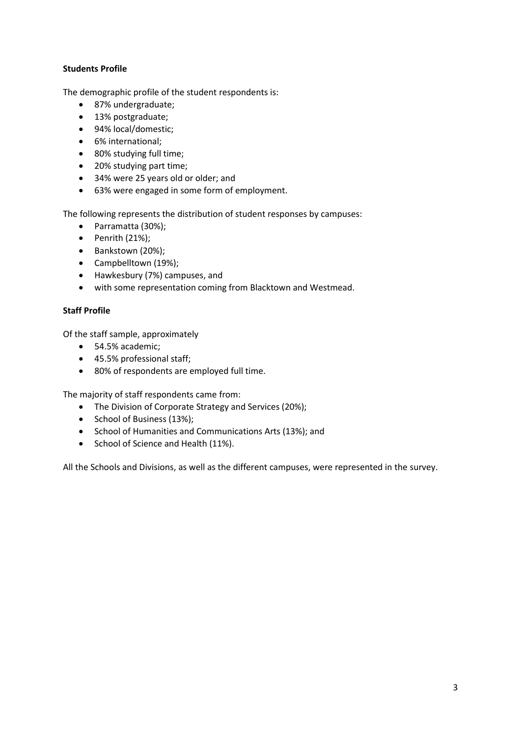#### **Students Profile**

The demographic profile of the student respondents is:

- 87% undergraduate;
- 13% postgraduate;
- 94% local/domestic;
- 6% international;
- 80% studying full time;
- 20% studying part time;
- 34% were 25 years old or older; and
- 63% were engaged in some form of employment.

The following represents the distribution of student responses by campuses:

- Parramatta (30%);
- $\bullet$  Penrith (21%);
- Bankstown (20%);
- Campbelltown (19%);
- Hawkesbury (7%) campuses, and
- with some representation coming from Blacktown and Westmead.

#### **Staff Profile**

Of the staff sample, approximately

- 54.5% academic;
- 45.5% professional staff;
- 80% of respondents are employed full time.

The majority of staff respondents came from:

- The Division of Corporate Strategy and Services (20%);
- School of Business (13%);
- School of Humanities and Communications Arts (13%); and
- School of Science and Health (11%).

All the Schools and Divisions, as well as the different campuses, were represented in the survey.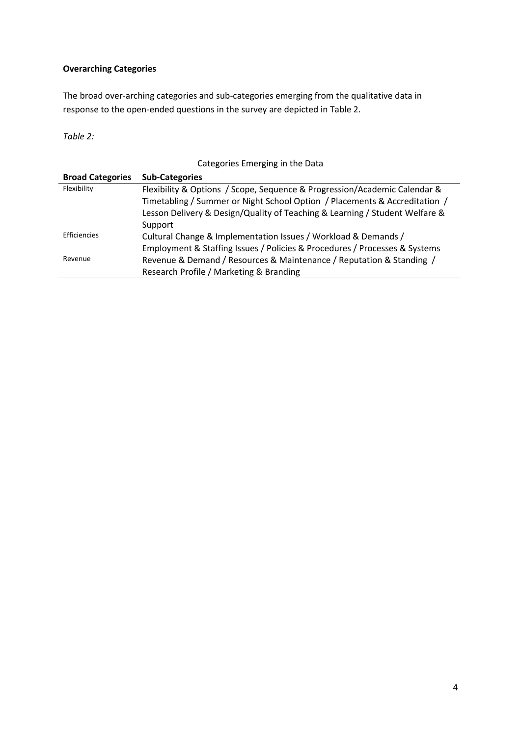#### **Overarching Categories**

The broad over-arching categories and sub-categories emerging from the qualitative data in response to the open-ended questions in the survey are depicted in Table 2.

*Table 2:* 

| Categories Linerging in the Data |                                                                             |  |  |  |
|----------------------------------|-----------------------------------------------------------------------------|--|--|--|
| <b>Broad Categories</b>          | <b>Sub-Categories</b>                                                       |  |  |  |
| Flexibility                      | Flexibility & Options / Scope, Sequence & Progression/Academic Calendar &   |  |  |  |
|                                  | Timetabling / Summer or Night School Option / Placements & Accreditation /  |  |  |  |
|                                  | Lesson Delivery & Design/Quality of Teaching & Learning / Student Welfare & |  |  |  |
|                                  | Support                                                                     |  |  |  |
| Efficiencies                     | Cultural Change & Implementation Issues / Workload & Demands /              |  |  |  |
|                                  | Employment & Staffing Issues / Policies & Procedures / Processes & Systems  |  |  |  |
| Revenue                          | Revenue & Demand / Resources & Maintenance / Reputation & Standing /        |  |  |  |
|                                  | Research Profile / Marketing & Branding                                     |  |  |  |

Categories Emerging in the Data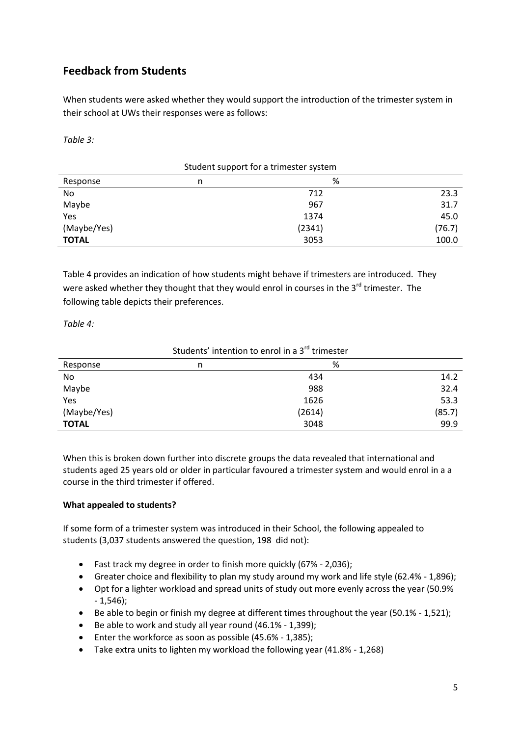# **Feedback from Students**

When students were asked whether they would support the introduction of the trimester system in their school at UWs their responses were as follows:

*Table 3:* 

| Student support for a trimester system |   |        |        |  |
|----------------------------------------|---|--------|--------|--|
| Response                               | n | %      |        |  |
| No                                     |   | 712    | 23.3   |  |
| Maybe                                  |   | 967    | 31.7   |  |
| Yes                                    |   | 1374   | 45.0   |  |
| (Maybe/Yes)                            |   | (2341) | (76.7) |  |
| <b>TOTAL</b>                           |   | 3053   | 100.0  |  |

Table 4 provides an indication of how students might behave if trimesters are introduced. They were asked whether they thought that they would enrol in courses in the  $3^{rd}$  trimester. The following table depicts their preferences.

*Table 4:* 

| n | %      |        |
|---|--------|--------|
|   | 434    | 14.2   |
|   | 988    | 32.4   |
|   | 1626   | 53.3   |
|   | (2614) | (85.7) |
|   | 3048   | 99.9   |
|   |        |        |

Students' intention to enrol in a 3<sup>rd</sup> trimester

When this is broken down further into discrete groups the data revealed that international and students aged 25 years old or older in particular favoured a trimester system and would enrol in a a course in the third trimester if offered.

#### **What appealed to students?**

If some form of a trimester system was introduced in their School, the following appealed to students (3,037 students answered the question, 198 did not):

- Fast track my degree in order to finish more quickly (67% 2,036);
- Greater choice and flexibility to plan my study around my work and life style (62.4% 1,896);
- Opt for a lighter workload and spread units of study out more evenly across the year (50.9% - 1,546);
- Be able to begin or finish my degree at different times throughout the year (50.1% 1,521);
- Be able to work and study all year round  $(46.1\% 1,399)$ ;
- Enter the workforce as soon as possible (45.6% 1,385);
- Take extra units to lighten my workload the following year (41.8% 1,268)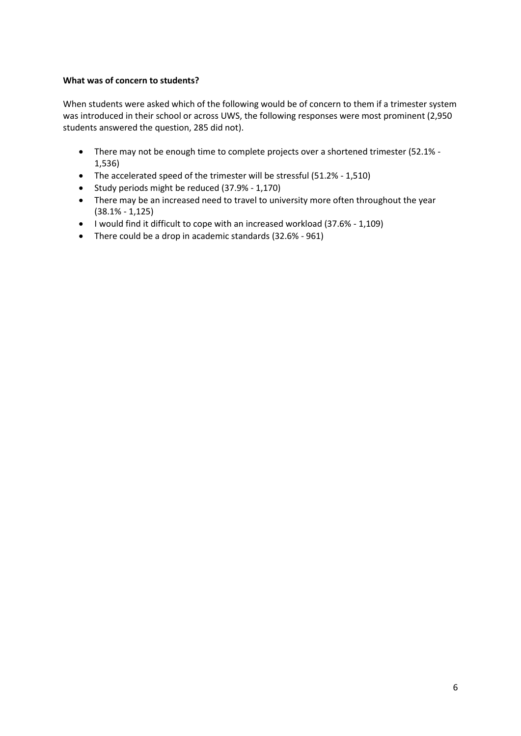#### **What was of concern to students?**

When students were asked which of the following would be of concern to them if a trimester system was introduced in their school or across UWS, the following responses were most prominent (2,950 students answered the question, 285 did not).

- There may not be enough time to complete projects over a shortened trimester (52.1% 1,536)
- The accelerated speed of the trimester will be stressful (51.2% 1,510)
- Study periods might be reduced (37.9% 1,170)
- There may be an increased need to travel to university more often throughout the year (38.1% - 1,125)
- I would find it difficult to cope with an increased workload (37.6% 1,109)
- There could be a drop in academic standards (32.6% 961)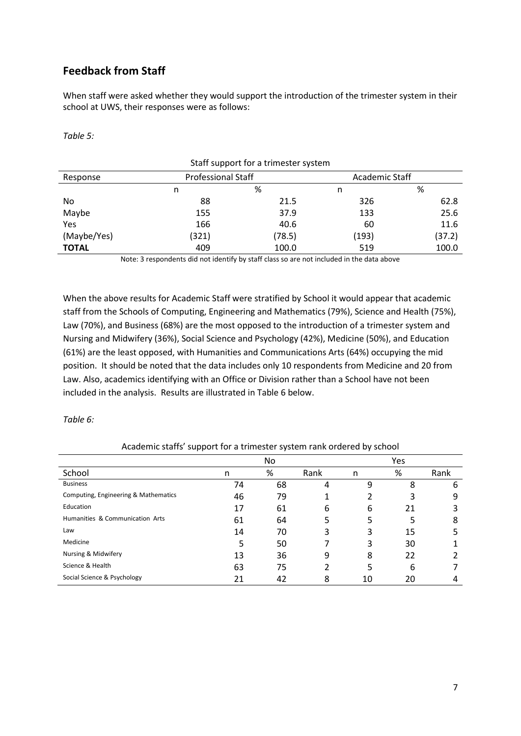# **Feedback from Staff**

When staff were asked whether they would support the introduction of the trimester system in their school at UWS, their responses were as follows:

*Table 5:* 

| Staff support for a trimester system |                           |        |                |        |  |
|--------------------------------------|---------------------------|--------|----------------|--------|--|
| Response                             | <b>Professional Staff</b> |        | Academic Staff |        |  |
|                                      | n                         | %      | n              | %      |  |
| No                                   | 88                        | 21.5   | 326            | 62.8   |  |
| Maybe                                | 155                       | 37.9   | 133            | 25.6   |  |
| Yes                                  | 166                       | 40.6   | 60             | 11.6   |  |
| (Maybe/Yes)                          | (321)                     | (78.5) | (193)          | (37.2) |  |
| <b>TOTAL</b>                         | 409                       | 100.0  | 519            | 100.0  |  |

Note: 3 respondents did not identify by staff class so are not included in the data above

When the above results for Academic Staff were stratified by School it would appear that academic staff from the Schools of Computing, Engineering and Mathematics (79%), Science and Health (75%), Law (70%), and Business (68%) are the most opposed to the introduction of a trimester system and Nursing and Midwifery (36%), Social Science and Psychology (42%), Medicine (50%), and Education (61%) are the least opposed, with Humanities and Communications Arts (64%) occupying the mid position. It should be noted that the data includes only 10 respondents from Medicine and 20 from Law. Also, academics identifying with an Office or Division rather than a School have not been included in the analysis. Results are illustrated in Table 6 below.

*Table 6:* 

|  |  | Academic staffs' support for a trimester system rank ordered by school |  |  |
|--|--|------------------------------------------------------------------------|--|--|
|--|--|------------------------------------------------------------------------|--|--|

|                                      |    | No. |      |    | <b>Yes</b> |      |
|--------------------------------------|----|-----|------|----|------------|------|
| School                               | n  | %   | Rank | n  | %          | Rank |
| <b>Business</b>                      | 74 | 68  | 4    | 9  | 8          | 6    |
| Computing, Engineering & Mathematics | 46 | 79  |      |    | 3          | 9    |
| Education                            | 17 | 61  | 6    | 6  | 21         |      |
| Humanities & Communication Arts      | 61 | 64  | 5    | 5  | 5          | 8    |
| Law                                  | 14 | 70  | 3    | 3  | 15         | 5    |
| Medicine                             | 5  | 50  |      | 3  | 30         |      |
| Nursing & Midwifery                  | 13 | 36  | 9    | 8  | 22         |      |
| Science & Health                     | 63 | 75  |      | 5  | 6          |      |
| Social Science & Psychology          | 21 | 42  | 8    | 10 | 20         | 4    |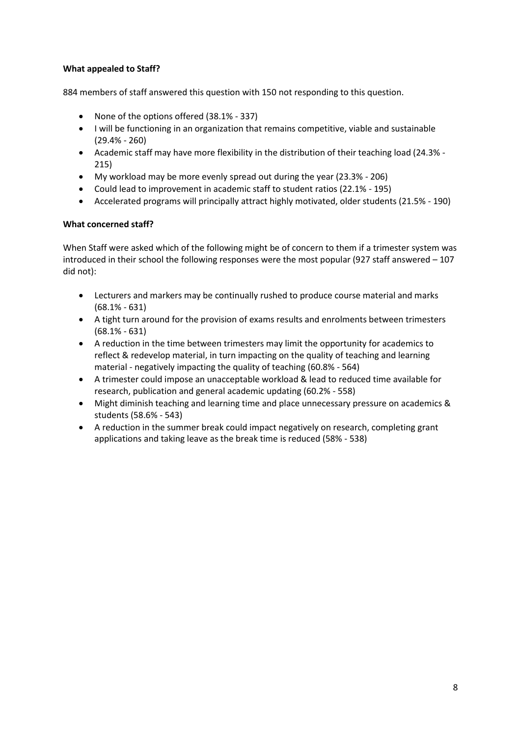#### **What appealed to Staff?**

884 members of staff answered this question with 150 not responding to this question.

- None of the options offered (38.1% 337)
- I will be functioning in an organization that remains competitive, viable and sustainable (29.4% - 260)
- Academic staff may have more flexibility in the distribution of their teaching load (24.3% 215)
- My workload may be more evenly spread out during the year (23.3% 206)
- Could lead to improvement in academic staff to student ratios (22.1% 195)
- Accelerated programs will principally attract highly motivated, older students (21.5% 190)

#### **What concerned staff?**

When Staff were asked which of the following might be of concern to them if a trimester system was introduced in their school the following responses were the most popular (927 staff answered – 107 did not):

- Lecturers and markers may be continually rushed to produce course material and marks (68.1% - 631)
- A tight turn around for the provision of exams results and enrolments between trimesters (68.1% - 631)
- A reduction in the time between trimesters may limit the opportunity for academics to reflect & redevelop material, in turn impacting on the quality of teaching and learning material - negatively impacting the quality of teaching (60.8% - 564)
- A trimester could impose an unacceptable workload & lead to reduced time available for research, publication and general academic updating (60.2% - 558)
- Might diminish teaching and learning time and place unnecessary pressure on academics & students (58.6% - 543)
- A reduction in the summer break could impact negatively on research, completing grant applications and taking leave as the break time is reduced (58% - 538)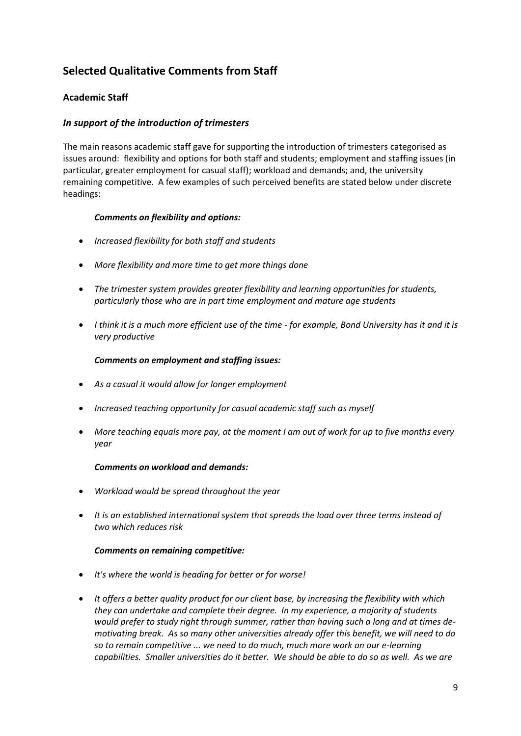# **Selected Qualitative Comments from Staff**

#### **Academic Staff**

#### *In support of the introduction of trimesters*

The main reasons academic staff gave for supporting the introduction of trimesters categorised as issues around: flexibility and options for both staff and students; employment and staffing issues (in particular, greater employment for casual staff); workload and demands; and, the university remaining competitive. A few examples of such perceived benefits are stated below under discrete headings:

#### *Comments on flexibility and options:*

- *Increased flexibility for both staff and students*
- *More flexibility and more time to get more things done*
- *The trimester system provides greater flexibility and learning opportunities for students, particularly those who are in part time employment and mature age students*
- *I think it is a much more efficient use of the time for example, Bond University has it and it is very productive*

#### *Comments on employment and staffing issues:*

- *As a casual it would allow for longer employment*
- *Increased teaching opportunity for casual academic staff such as myself*
- *More teaching equals more pay, at the moment I am out of work for up to five months every year*

#### *Comments on workload and demands:*

- *Workload would be spread throughout the year*
- *It is an established international system that spreads the load over three terms instead of two which reduces risk*

#### *Comments on remaining competitive:*

- *It's where the world is heading for better or for worse!*
- *It offers a better quality product for our client base, by increasing the flexibility with which they can undertake and complete their degree. In my experience, a majority of students would prefer to study right through summer, rather than having such a long and at times demotivating break. As so many other universities already offer this benefit, we will need to do so to remain competitive ... we need to do much, much more work on our e-learning capabilities. Smaller universities do it better. We should be able to do so as well. As we are*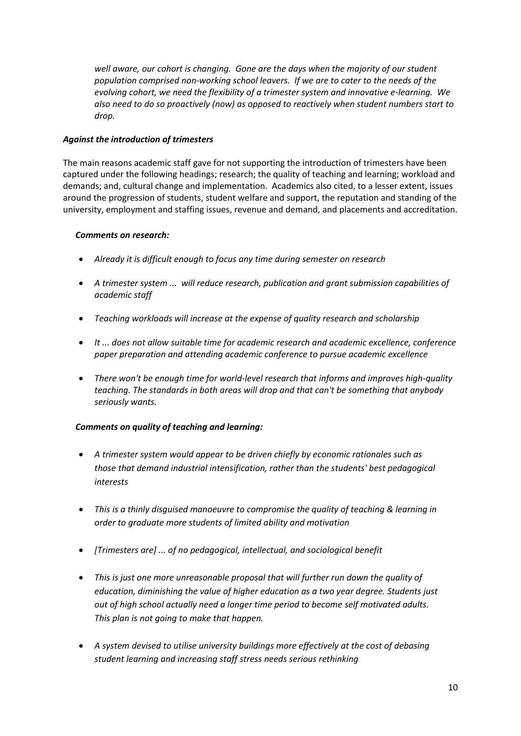*well aware, our cohort is changing. Gone are the days when the majority of our student population comprised non-working school leavers. If we are to cater to the needs of the evolving cohort, we need the flexibility of a trimester system and innovative e-learning. We also need to do so proactively (now) as opposed to reactively when student numbers start to drop.* 

#### *Against the introduction of trimesters*

The main reasons academic staff gave for not supporting the introduction of trimesters have been captured under the following headings; research; the quality of teaching and learning; workload and demands; and, cultural change and implementation. Academics also cited, to a lesser extent, issues around the progression of students, student welfare and support, the reputation and standing of the university, employment and staffing issues, revenue and demand, and placements and accreditation.

#### *Comments on research:*

- *Already it is difficult enough to focus any time during semester on research*
- *A trimester system ... will reduce research, publication and grant submission capabilities of academic staff*
- *Teaching workloads will increase at the expense of quality research and scholarship*
- *It ... does not allow suitable time for academic research and academic excellence, conference paper preparation and attending academic conference to pursue academic excellence*
- *There won't be enough time for world-level research that informs and improves high-quality teaching. The standards in both areas will drop and that can't be something that anybody seriously wants.*

#### *Comments on quality of teaching and learning:*

- *A trimester system would appear to be driven chiefly by economic rationales such as those that demand industrial intensification, rather than the students' best pedagogical interests*
- *This is a thinly disguised manoeuvre to compromise the quality of teaching & learning in order to graduate more students of limited ability and motivation*
- *[Trimesters are] ... of no pedagogical, intellectual, and sociological benefit*
- *This is just one more unreasonable proposal that will further run down the quality of education, diminishing the value of higher education as a two year degree. Students just out of high school actually need a longer time period to become self motivated adults. This plan is not going to make that happen.*
- *A system devised to utilise university buildings more effectively at the cost of debasing student learning and increasing staff stress needs serious rethinking*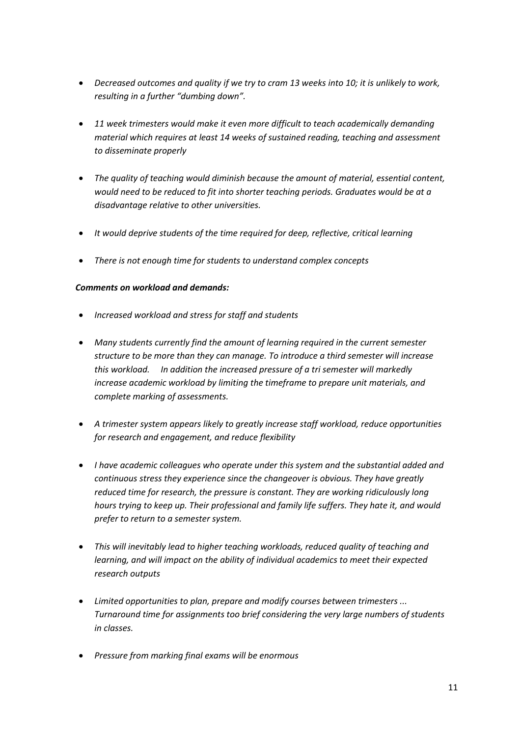- *Decreased outcomes and quality if we try to cram 13 weeks into 10; it is unlikely to work, resulting in a further "dumbing down".*
- *11 week trimesters would make it even more difficult to teach academically demanding material which requires at least 14 weeks of sustained reading, teaching and assessment to disseminate properly*
- *The quality of teaching would diminish because the amount of material, essential content, would need to be reduced to fit into shorter teaching periods. Graduates would be at a disadvantage relative to other universities.*
- *It would deprive students of the time required for deep, reflective, critical learning*
- *There is not enough time for students to understand complex concepts*

#### *Comments on workload and demands:*

- *Increased workload and stress for staff and students*
- *Many students currently find the amount of learning required in the current semester structure to be more than they can manage. To introduce a third semester will increase this workload. In addition the increased pressure of a tri semester will markedly increase academic workload by limiting the timeframe to prepare unit materials, and complete marking of assessments.*
- *A trimester system appears likely to greatly increase staff workload, reduce opportunities for research and engagement, and reduce flexibility*
- *I have academic colleagues who operate under this system and the substantial added and continuous stress they experience since the changeover is obvious. They have greatly reduced time for research, the pressure is constant. They are working ridiculously long hours trying to keep up. Their professional and family life suffers. They hate it, and would prefer to return to a semester system.*
- *This will inevitably lead to higher teaching workloads, reduced quality of teaching and learning, and will impact on the ability of individual academics to meet their expected research outputs*
- *Limited opportunities to plan, prepare and modify courses between trimesters ... Turnaround time for assignments too brief considering the very large numbers of students in classes.*
- *Pressure from marking final exams will be enormous*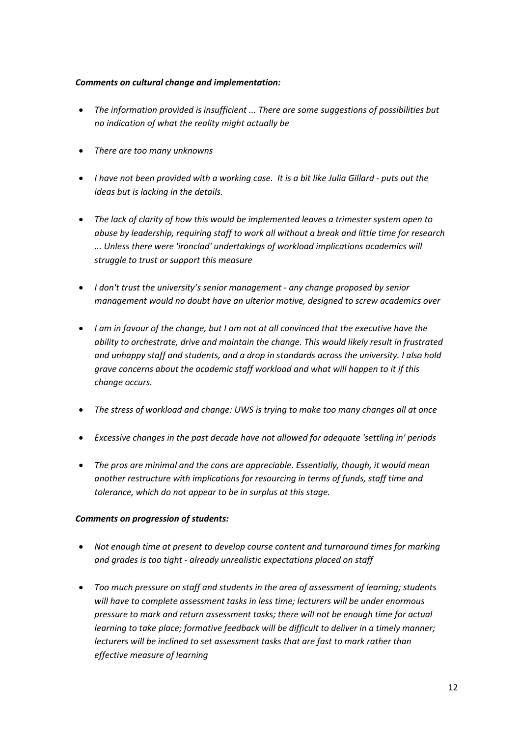#### *Comments on cultural change and implementation:*

- *The information provided is insufficient ... There are some suggestions of possibilities but no indication of what the reality might actually be*
- *There are too many unknowns*
- *I have not been provided with a working case. It is a bit like Julia Gillard puts out the ideas but is lacking in the details.*
- *The lack of clarity of how this would be implemented leaves a trimester system open to abuse by leadership, requiring staff to work all without a break and little time for research ... Unless there were 'ironclad' undertakings of workload implications academics will struggle to trust or support this measure*
- *I don't trust the university's senior management any change proposed by senior management would no doubt have an ulterior motive, designed to screw academics over*
- *I am in favour of the change, but I am not at all convinced that the executive have the ability to orchestrate, drive and maintain the change. This would likely result in frustrated and unhappy staff and students, and a drop in standards across the university. I also hold grave concerns about the academic staff workload and what will happen to it if this change occurs.*
- *The stress of workload and change: UWS is trying to make too many changes all at once*
- *Excessive changes in the past decade have not allowed for adequate 'settling in' periods*
- *The pros are minimal and the cons are appreciable. Essentially, though, it would mean another restructure with implications for resourcing in terms of funds, staff time and tolerance, which do not appear to be in surplus at this stage.*

#### *Comments on progression of students:*

- *Not enough time at present to develop course content and turnaround times for marking and grades is too tight - already unrealistic expectations placed on staff*
- *Too much pressure on staff and students in the area of assessment of learning; students will have to complete assessment tasks in less time; lecturers will be under enormous pressure to mark and return assessment tasks; there will not be enough time for actual learning to take place; formative feedback will be difficult to deliver in a timely manner; lecturers will be inclined to set assessment tasks that are fast to mark rather than effective measure of learning*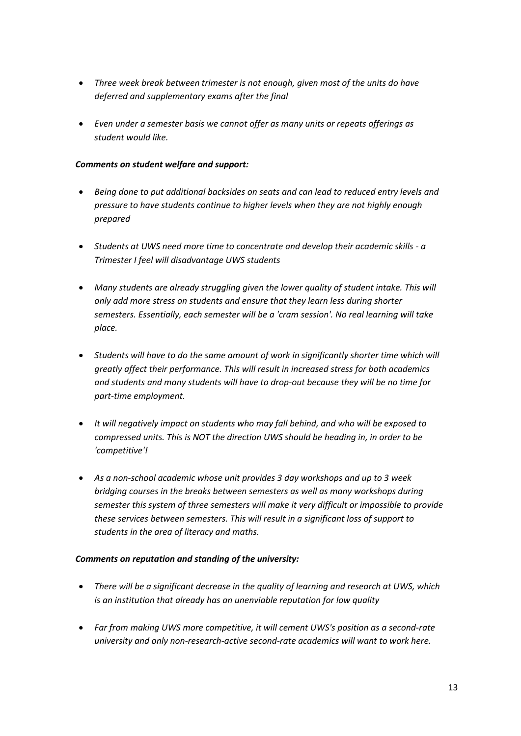- *Three week break between trimester is not enough, given most of the units do have deferred and supplementary exams after the final*
- *Even under a semester basis we cannot offer as many units or repeats offerings as student would like.*

#### *Comments on student welfare and support:*

- *Being done to put additional backsides on seats and can lead to reduced entry levels and pressure to have students continue to higher levels when they are not highly enough prepared*
- *Students at UWS need more time to concentrate and develop their academic skills a Trimester I feel will disadvantage UWS students*
- *Many students are already struggling given the lower quality of student intake. This will only add more stress on students and ensure that they learn less during shorter semesters. Essentially, each semester will be a 'cram session'. No real learning will take place.*
- *Students will have to do the same amount of work in significantly shorter time which will greatly affect their performance. This will result in increased stress for both academics and students and many students will have to drop-out because they will be no time for part-time employment.*
- *It will negatively impact on students who may fall behind, and who will be exposed to compressed units. This is NOT the direction UWS should be heading in, in order to be 'competitive'!*
- *As a non-school academic whose unit provides 3 day workshops and up to 3 week bridging courses in the breaks between semesters as well as many workshops during semester this system of three semesters will make it very difficult or impossible to provide these services between semesters. This will result in a significant loss of support to students in the area of literacy and maths.*

#### *Comments on reputation and standing of the university:*

- *There will be a significant decrease in the quality of learning and research at UWS, which is an institution that already has an unenviable reputation for low quality*
- *Far from making UWS more competitive, it will cement UWS's position as a second-rate university and only non-research-active second-rate academics will want to work here.*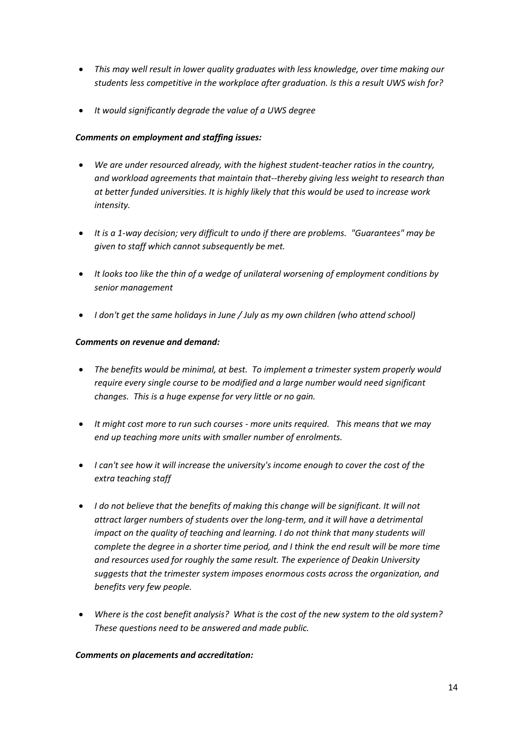- *This may well result in lower quality graduates with less knowledge, over time making our students less competitive in the workplace after graduation. Is this a result UWS wish for?*
- *It would significantly degrade the value of a UWS degree*

#### *Comments on employment and staffing issues:*

- *We are under resourced already, with the highest student-teacher ratios in the country, and workload agreements that maintain that--thereby giving less weight to research than at better funded universities. It is highly likely that this would be used to increase work intensity.*
- *It is a 1-way decision; very difficult to undo if there are problems. "Guarantees" may be given to staff which cannot subsequently be met.*
- *It looks too like the thin of a wedge of unilateral worsening of employment conditions by senior management*
- *I don't get the same holidays in June / July as my own children (who attend school)*

#### *Comments on revenue and demand:*

- *The benefits would be minimal, at best. To implement a trimester system properly would require every single course to be modified and a large number would need significant changes. This is a huge expense for very little or no gain.*
- *It might cost more to run such courses more units required. This means that we may end up teaching more units with smaller number of enrolments.*
- *I can't see how it will increase the university's income enough to cover the cost of the extra teaching staff*
- *I do not believe that the benefits of making this change will be significant. It will not attract larger numbers of students over the long-term, and it will have a detrimental impact on the quality of teaching and learning. I do not think that many students will complete the degree in a shorter time period, and I think the end result will be more time and resources used for roughly the same result. The experience of Deakin University suggests that the trimester system imposes enormous costs across the organization, and benefits very few people.*
- *Where is the cost benefit analysis? What is the cost of the new system to the old system? These questions need to be answered and made public.*

#### *Comments on placements and accreditation:*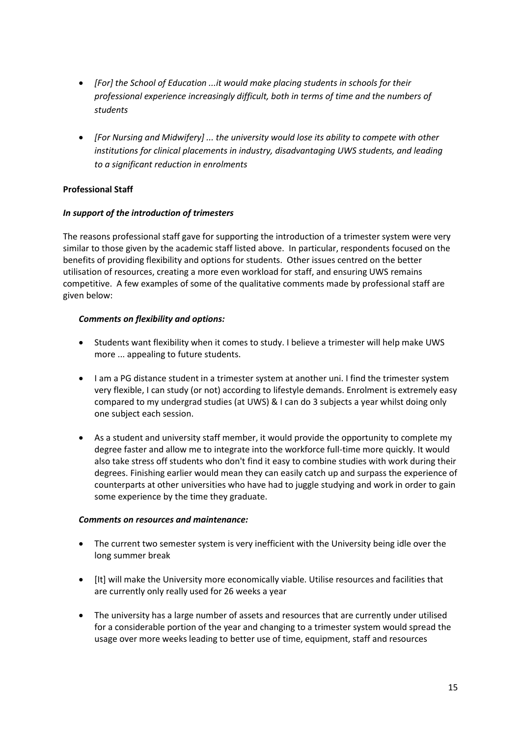- *[For] the School of Education ...it would make placing students in schools for their professional experience increasingly difficult, both in terms of time and the numbers of students*
- *[For Nursing and Midwifery] ... the university would lose its ability to compete with other institutions for clinical placements in industry, disadvantaging UWS students, and leading to a significant reduction in enrolments*

#### **Professional Staff**

#### *In support of the introduction of trimesters*

The reasons professional staff gave for supporting the introduction of a trimester system were very similar to those given by the academic staff listed above. In particular, respondents focused on the benefits of providing flexibility and options for students. Other issues centred on the better utilisation of resources, creating a more even workload for staff, and ensuring UWS remains competitive. A few examples of some of the qualitative comments made by professional staff are given below:

#### *Comments on flexibility and options:*

- Students want flexibility when it comes to study. I believe a trimester will help make UWS more ... appealing to future students.
- I am a PG distance student in a trimester system at another uni. I find the trimester system very flexible, I can study (or not) according to lifestyle demands. Enrolment is extremely easy compared to my undergrad studies (at UWS) & I can do 3 subjects a year whilst doing only one subject each session.
- As a student and university staff member, it would provide the opportunity to complete my degree faster and allow me to integrate into the workforce full-time more quickly. It would also take stress off students who don't find it easy to combine studies with work during their degrees. Finishing earlier would mean they can easily catch up and surpass the experience of counterparts at other universities who have had to juggle studying and work in order to gain some experience by the time they graduate.

#### *Comments on resources and maintenance:*

- The current two semester system is very inefficient with the University being idle over the long summer break
- [It] will make the University more economically viable. Utilise resources and facilities that are currently only really used for 26 weeks a year
- The university has a large number of assets and resources that are currently under utilised for a considerable portion of the year and changing to a trimester system would spread the usage over more weeks leading to better use of time, equipment, staff and resources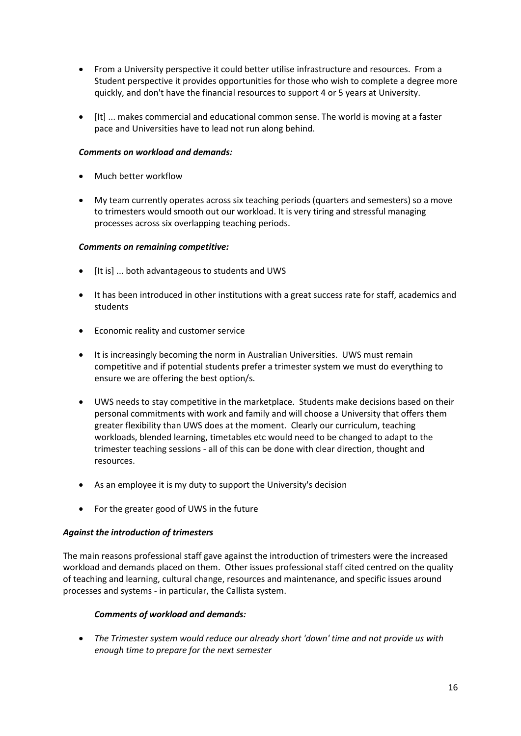- From a University perspective it could better utilise infrastructure and resources. From a Student perspective it provides opportunities for those who wish to complete a degree more quickly, and don't have the financial resources to support 4 or 5 years at University.
- [It] ... makes commercial and educational common sense. The world is moving at a faster pace and Universities have to lead not run along behind.

#### *Comments on workload and demands:*

- Much better workflow
- My team currently operates across six teaching periods (quarters and semesters) so a move to trimesters would smooth out our workload. It is very tiring and stressful managing processes across six overlapping teaching periods.

#### *Comments on remaining competitive:*

- [It is] ... both advantageous to students and UWS
- It has been introduced in other institutions with a great success rate for staff, academics and students
- Economic reality and customer service
- It is increasingly becoming the norm in Australian Universities. UWS must remain competitive and if potential students prefer a trimester system we must do everything to ensure we are offering the best option/s.
- UWS needs to stay competitive in the marketplace. Students make decisions based on their personal commitments with work and family and will choose a University that offers them greater flexibility than UWS does at the moment. Clearly our curriculum, teaching workloads, blended learning, timetables etc would need to be changed to adapt to the trimester teaching sessions - all of this can be done with clear direction, thought and resources.
- As an employee it is my duty to support the University's decision
- For the greater good of UWS in the future

#### *Against the introduction of trimesters*

The main reasons professional staff gave against the introduction of trimesters were the increased workload and demands placed on them. Other issues professional staff cited centred on the quality of teaching and learning, cultural change, resources and maintenance, and specific issues around processes and systems - in particular, the Callista system.

#### *Comments of workload and demands:*

 *The Trimester system would reduce our already short 'down' time and not provide us with enough time to prepare for the next semester*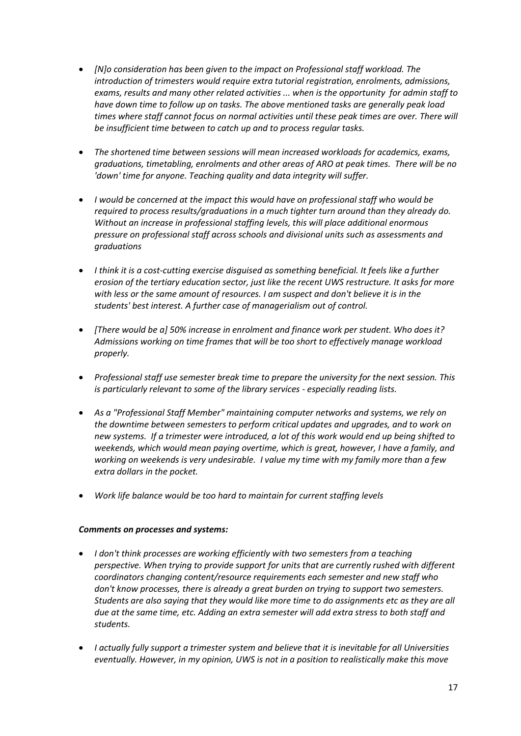- *[N]o consideration has been given to the impact on Professional staff workload. The introduction of trimesters would require extra tutorial registration, enrolments, admissions, exams, results and many other related activities ... when is the opportunity for admin staff to have down time to follow up on tasks. The above mentioned tasks are generally peak load times where staff cannot focus on normal activities until these peak times are over. There will be insufficient time between to catch up and to process regular tasks.*
- *The shortened time between sessions will mean increased workloads for academics, exams, graduations, timetabling, enrolments and other areas of ARO at peak times. There will be no 'down' time for anyone. Teaching quality and data integrity will suffer.*
- *I would be concerned at the impact this would have on professional staff who would be required to process results/graduations in a much tighter turn around than they already do. Without an increase in professional staffing levels, this will place additional enormous pressure on professional staff across schools and divisional units such as assessments and graduations*
- *I think it is a cost-cutting exercise disguised as something beneficial. It feels like a further erosion of the tertiary education sector, just like the recent UWS restructure. It asks for more with less or the same amount of resources. I am suspect and don't believe it is in the students' best interest. A further case of managerialism out of control.*
- *[There would be a] 50% increase in enrolment and finance work per student. Who does it? Admissions working on time frames that will be too short to effectively manage workload properly.*
- *Professional staff use semester break time to prepare the university for the next session. This is particularly relevant to some of the library services - especially reading lists.*
- *As a "Professional Staff Member" maintaining computer networks and systems, we rely on the downtime between semesters to perform critical updates and upgrades, and to work on new systems. If a trimester were introduced, a lot of this work would end up being shifted to weekends, which would mean paying overtime, which is great, however, I have a family, and working on weekends is very undesirable. I value my time with my family more than a few extra dollars in the pocket.*
- *Work life balance would be too hard to maintain for current staffing levels*

#### *Comments on processes and systems:*

- *I don't think processes are working efficiently with two semesters from a teaching perspective. When trying to provide support for units that are currently rushed with different coordinators changing content/resource requirements each semester and new staff who don't know processes, there is already a great burden on trying to support two semesters. Students are also saying that they would like more time to do assignments etc as they are all due at the same time, etc. Adding an extra semester will add extra stress to both staff and students.*
- *I actually fully support a trimester system and believe that it is inevitable for all Universities eventually. However, in my opinion, UWS is not in a position to realistically make this move*